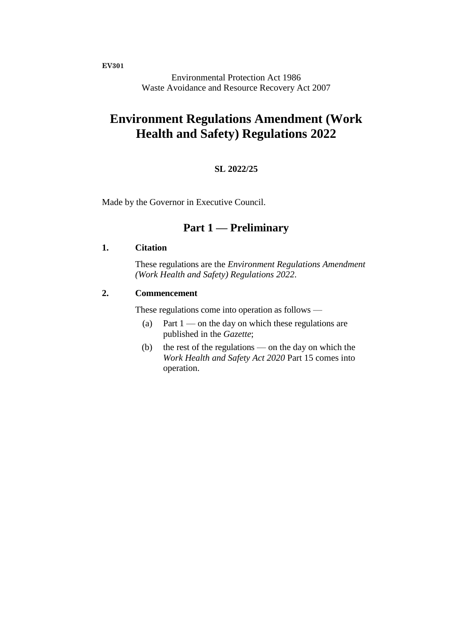**EV301**

Environmental Protection Act 1986 Waste Avoidance and Resource Recovery Act 2007

# **Environment Regulations Amendment (Work Health and Safety) Regulations 2022**

#### **SL 2022/25**

Made by the Governor in Executive Council.

# **Part 1 — Preliminary**

### **1. Citation**

These regulations are the *Environment Regulations Amendment (Work Health and Safety) Regulations 2022*.

#### **2. Commencement**

These regulations come into operation as follows —

- (a) Part  $1$  on the day on which these regulations are published in the *Gazette*;
- (b) the rest of the regulations on the day on which the *Work Health and Safety Act 2020* Part 15 comes into operation.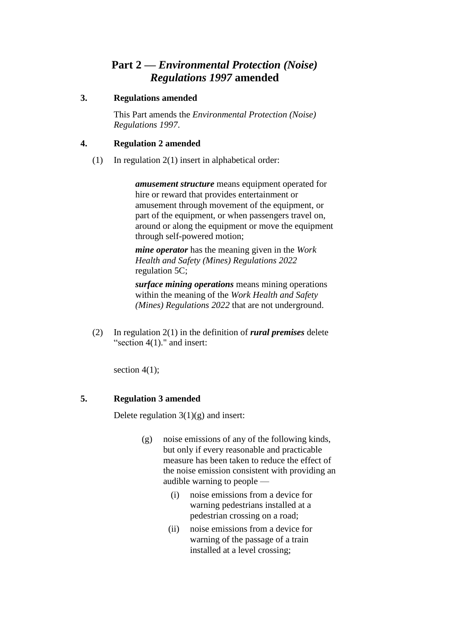# **Part 2 —** *Environmental Protection (Noise) Regulations 1997* **amended**

# **3. Regulations amended**

This Part amends the *Environmental Protection (Noise) Regulations 1997*.

# **4. Regulation 2 amended**

(1) In regulation 2(1) insert in alphabetical order:

*amusement structure* means equipment operated for hire or reward that provides entertainment or amusement through movement of the equipment, or part of the equipment, or when passengers travel on, around or along the equipment or move the equipment through self-powered motion;

*mine operator* has the meaning given in the *Work Health and Safety (Mines) Regulations 2022* regulation 5C;

*surface mining operations* means mining operations within the meaning of the *Work Health and Safety (Mines) Regulations 2022* that are not underground.

(2) In regulation 2(1) in the definition of *rural premises* delete "section 4(1)." and insert:

section  $4(1)$ ;

# **5. Regulation 3 amended**

Delete regulation  $3(1)(g)$  and insert:

- (g) noise emissions of any of the following kinds, but only if every reasonable and practicable measure has been taken to reduce the effect of the noise emission consistent with providing an audible warning to people —
	- (i) noise emissions from a device for warning pedestrians installed at a pedestrian crossing on a road;
	- (ii) noise emissions from a device for warning of the passage of a train installed at a level crossing;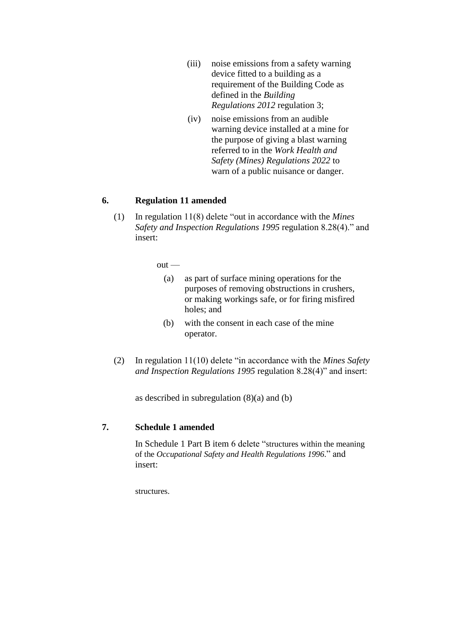- (iii) noise emissions from a safety warning device fitted to a building as a requirement of the Building Code as defined in the *Building Regulations 2012* regulation 3;
- (iv) noise emissions from an audible warning device installed at a mine for the purpose of giving a blast warning referred to in the *Work Health and Safety (Mines) Regulations 2022* to warn of a public nuisance or danger.

### **6. Regulation 11 amended**

(1) In regulation 11(8) delete "out in accordance with the *Mines Safety and Inspection Regulations 1995* regulation 8.28(4)." and insert:

 $out -$ 

- (a) as part of surface mining operations for the purposes of removing obstructions in crushers, or making workings safe, or for firing misfired holes; and
- (b) with the consent in each case of the mine operator.
- (2) In regulation 11(10) delete "in accordance with the *Mines Safety and Inspection Regulations 1995* regulation 8.28(4)" and insert:

as described in subregulation (8)(a) and (b)

## **7. Schedule 1 amended**

In Schedule 1 Part B item 6 delete "structures within the meaning of the *Occupational Safety and Health Regulations 1996*." and insert:

structures.